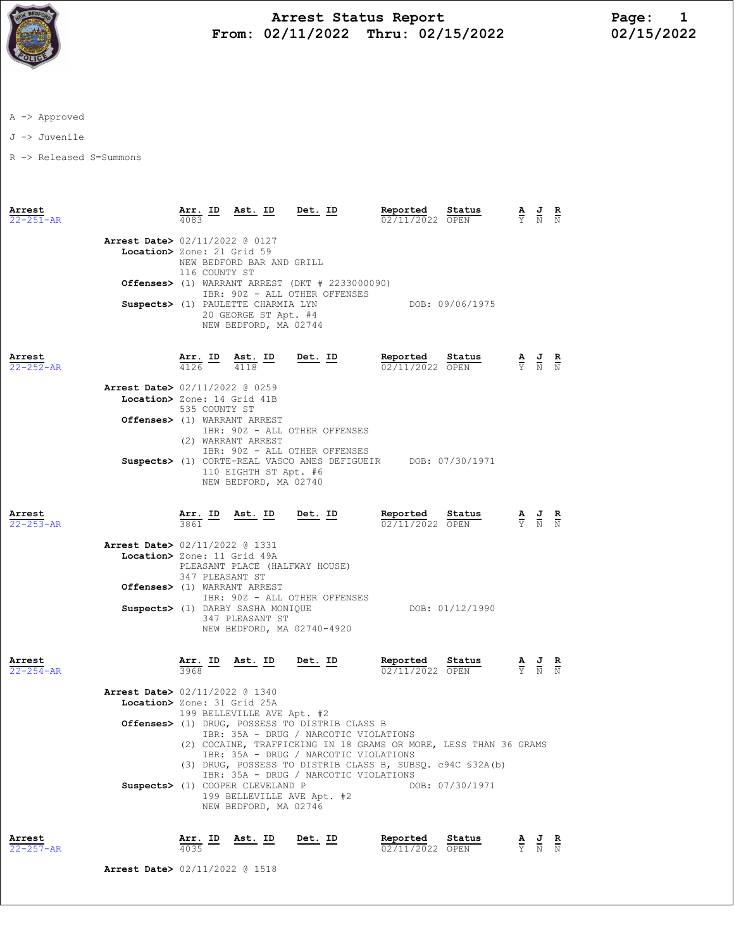

## Arrest Status Report Page: 1 From:  $02/11/2022$  Thru:  $02/15/2022$

A -> Approved

J -> Juvenile

R -> Released S=Summons

| Arrest<br>$22 - 251 - AR$ |                                                               | Arr. ID<br>4083 | Ast. ID                                                                             | Det. ID                                                                                                                                                                                              | Reported<br>02/11/2022 OPEN   | Status                                                                                                           | $\frac{\mathbf{A}}{\mathbf{Y}}$ $\frac{\mathbf{J}}{\mathbf{N}}$ $\frac{\mathbf{R}}{\mathbf{N}}$       |  |
|---------------------------|---------------------------------------------------------------|-----------------|-------------------------------------------------------------------------------------|------------------------------------------------------------------------------------------------------------------------------------------------------------------------------------------------------|-------------------------------|------------------------------------------------------------------------------------------------------------------|-------------------------------------------------------------------------------------------------------|--|
|                           | Arrest Date> 02/11/2022 @ 0127<br>Location> Zone: 21 Grid 59  | 116 COUNTY ST   | NEW BEDFORD BAR AND GRILL                                                           |                                                                                                                                                                                                      |                               |                                                                                                                  |                                                                                                       |  |
|                           |                                                               |                 |                                                                                     | <b>Offenses&gt;</b> (1) WARRANT ARREST (DKT $#$ 2233000090)<br>IBR: 90Z - ALL OTHER OFFENSES                                                                                                         |                               |                                                                                                                  |                                                                                                       |  |
|                           |                                                               |                 | Suspects> (1) PAULETTE CHARMIA LYN<br>20 GEORGE ST Apt. #4<br>NEW BEDFORD, MA 02744 |                                                                                                                                                                                                      |                               | DOB: 09/06/1975                                                                                                  |                                                                                                       |  |
| Arrest<br>$22 - 252 - AR$ |                                                               |                 | $\frac{\texttt{Arr.}}{4126}$ ID $\frac{\texttt{ Ast.}}{4118}$ ID                    | $Det. ID$                                                                                                                                                                                            | Reported Status               |                                                                                                                  |                                                                                                       |  |
|                           | Arrest Date> 02/11/2022 @ 0259<br>Location> Zone: 14 Grid 41B |                 |                                                                                     |                                                                                                                                                                                                      |                               |                                                                                                                  |                                                                                                       |  |
|                           |                                                               | 535 COUNTY ST   |                                                                                     |                                                                                                                                                                                                      |                               |                                                                                                                  |                                                                                                       |  |
|                           |                                                               |                 | Offenses> (1) WARRANT ARREST<br>(2) WARRANT ARREST                                  | IBR: 90Z - ALL OTHER OFFENSES<br>IBR: 90Z - ALL OTHER OFFENSES                                                                                                                                       |                               |                                                                                                                  |                                                                                                       |  |
|                           |                                                               |                 | 110 EIGHTH ST Apt. #6<br>NEW BEDFORD, MA 02740                                      | Suspects> (1) CORTE-REAL VASCO ANES DEFIGUEIR DOB: 07/30/1971                                                                                                                                        |                               |                                                                                                                  |                                                                                                       |  |
| Arrest<br>22-253-AR       |                                                               | 3861            |                                                                                     | <u>Arr. ID Ast. ID Det. ID</u>                                                                                                                                                                       | Reported<br>$02/11/2022$ OPEN | <u>Status</u><br>$\frac{\mathbf{A}}{\mathbf{Y}}$ $\frac{\mathbf{J}}{\mathbf{N}}$ $\frac{\mathbf{R}}{\mathbf{N}}$ |                                                                                                       |  |
|                           | Arrest Date> 02/11/2022 @ 1331<br>Location> Zone: 11 Grid 49A | 347 PLEASANT ST |                                                                                     | PLEASANT PLACE (HALFWAY HOUSE)                                                                                                                                                                       |                               |                                                                                                                  |                                                                                                       |  |
|                           |                                                               |                 | Offenses> (1) WARRANT ARREST                                                        | IBR: 90Z - ALL OTHER OFFENSES                                                                                                                                                                        |                               |                                                                                                                  |                                                                                                       |  |
|                           |                                                               |                 | Suspects> (1) DARBY SASHA MONIQUE<br>347 PLEASANT ST                                | NEW BEDFORD, MA 02740-4920                                                                                                                                                                           |                               | DOB: 01/12/1990                                                                                                  |                                                                                                       |  |
| Arrest<br>$22 - 254 - AR$ |                                                               | 3968            | $\frac{\text{Arr.}}{3968}$ ID Ast. ID Det. ID                                       |                                                                                                                                                                                                      | Reported<br>02/11/2022 OPEN   | Status                                                                                                           | $\frac{\mathbf{A}}{\overline{Y}}$ $\frac{\mathbf{J}}{\overline{N}}$ $\frac{\mathbf{R}}{\overline{N}}$ |  |
|                           | <b>Arrest Date&gt; 02/11/2022 @ 1340</b>                      |                 |                                                                                     |                                                                                                                                                                                                      |                               |                                                                                                                  |                                                                                                       |  |
|                           | Location> Zone: 31 Grid 25A                                   |                 | 199 BELLEVILLE AVE Apt. #2                                                          |                                                                                                                                                                                                      |                               |                                                                                                                  |                                                                                                       |  |
|                           |                                                               |                 |                                                                                     | Offenses> (1) DRUG, POSSESS TO DISTRIB CLASS B<br>IBR: 35A - DRUG / NARCOTIC VIOLATIONS<br>(2) COCAINE, TRAFFICKING IN 18 GRAMS OR MORE, LESS THAN 36 GRAMS<br>IBR: 35A - DRUG / NARCOTIC VIOLATIONS |                               |                                                                                                                  |                                                                                                       |  |
|                           |                                                               |                 |                                                                                     | (3) DRUG, POSSESS TO DISTRIB CLASS B, SUBSQ. c94C \$32A(b)<br>IBR: 35A - DRUG / NARCOTIC VIOLATIONS                                                                                                  |                               |                                                                                                                  |                                                                                                       |  |
|                           |                                                               |                 | Suspects> (1) COOPER CLEVELAND P<br>NEW BEDFORD, MA 02746                           | 199 BELLEVILLE AVE Apt. #2                                                                                                                                                                           |                               | DOB: 07/30/1971                                                                                                  |                                                                                                       |  |
| Arrest<br>22-257-AR       |                                                               | Arr. ID<br>4035 | Ast. ID                                                                             | Det. ID                                                                                                                                                                                              | Reported<br>02/11/2022 OPEN   | Status                                                                                                           | $\frac{\mathbf{A}}{\mathbf{Y}}$ $\frac{\mathbf{J}}{\mathbf{N}}$ $\frac{\mathbf{R}}{\mathbf{N}}$       |  |

Arrest Date> 02/11/2022 @ 1518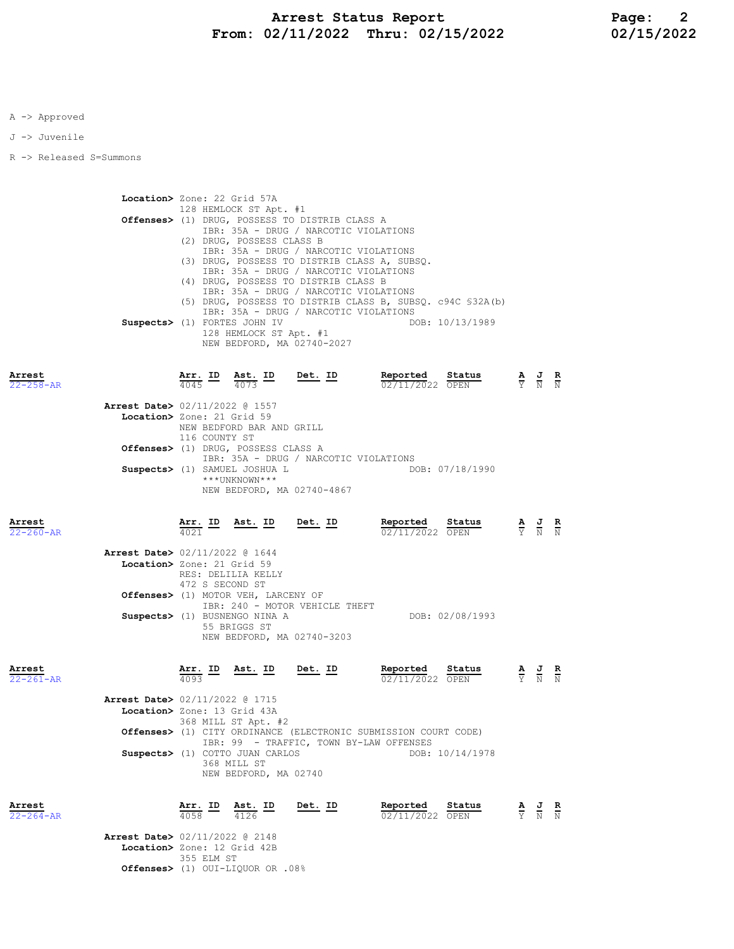J -> Juvenile

R -> Released S=Summons

Location> Zone: 22 Grid 57A 128 HEMLOCK ST Apt. #1 Offenses> (1) DRUG, POSSESS TO DISTRIB CLASS A IBR: 35A - DRUG / NARCOTIC VIOLATIONS (2) DRUG, POSSESS CLASS B IBR: 35A - DRUG / NARCOTIC VIOLATIONS (3) DRUG, POSSESS TO DISTRIB CLASS A, SUBSQ. IBR: 35A - DRUG / NARCOTIC VIOLATIONS (4) DRUG, POSSESS TO DISTRIB CLASS B IBR: 35A - DRUG / NARCOTIC VIOLATIONS (5) DRUG, POSSESS TO DISTRIB CLASS B, SUBSQ. c94C §32A(b) IBR: 35A - DRUG / NARCOTIC VIOLATIONS Suspects> (1) FORTES JOHN IV 128 HEMLOCK ST Apt. #1 NEW BEDFORD, MA 02740-2027

| Arrest<br>$22 - 258 - AR$ |                                                                        | Arr. ID<br>4045                                                                                                                                                         | Ast. ID<br>4073           | $Det. ID$                  | Status<br>Reported<br>$02/11/2022$ OPEN |                                           | $\frac{\mathbf{A}}{\mathbf{Y}}$ $\frac{\mathbf{J}}{\mathbf{N}}$ $\frac{\mathbf{R}}{\mathbf{N}}$ |  |  |
|---------------------------|------------------------------------------------------------------------|-------------------------------------------------------------------------------------------------------------------------------------------------------------------------|---------------------------|----------------------------|-----------------------------------------|-------------------------------------------|-------------------------------------------------------------------------------------------------|--|--|
|                           | <b>Arrest Date&gt;</b> 02/11/2022 @ 1557<br>Location> Zone: 21 Grid 59 | 116 COUNTY ST                                                                                                                                                           | NEW BEDFORD BAR AND GRILL |                            |                                         |                                           |                                                                                                 |  |  |
|                           |                                                                        | Offenses> (1) DRUG, POSSESS CLASS A<br>IBR: 35A - DRUG / NARCOTIC VIOLATIONS<br>Suspects> (1) SAMUEL JOSHUA L                                                           |                           |                            |                                         |                                           |                                                                                                 |  |  |
|                           |                                                                        |                                                                                                                                                                         | $***$ UNKNOWN***          | NEW BEDFORD, MA 02740-4867 | DOB: 07/18/1990                         |                                           |                                                                                                 |  |  |
| Arrest<br>$22 - 260 - AR$ |                                                                        | 4021                                                                                                                                                                    | <u>Arr. ID Ast. ID</u>    | $Det. ID$                  | Reported<br>Status<br>02/11/2022 OPEN   | $\frac{A}{Y}$ $\frac{J}{N}$ $\frac{R}{N}$ |                                                                                                 |  |  |
|                           | Arrest Date> 02/11/2022 @ 1644<br>Location> Zone: 21 Grid 59           | 472 S SECOND ST                                                                                                                                                         | RES: DELILIA KELLY        |                            |                                         |                                           |                                                                                                 |  |  |
|                           |                                                                        | Offenses> (1) MOTOR VEH, LARCENY OF<br>IBR: 240 - MOTOR VEHICLE THEFT<br>DOB: 02/08/1993<br>Suspects> (1) BUSNENGO NINA A<br>55 BRIGGS ST<br>NEW BEDFORD, MA 02740-3203 |                           |                            |                                         |                                           |                                                                                                 |  |  |
| Arrest<br>$22 - 261 - AR$ |                                                                        | <u>Arr. ID</u><br>4093                                                                                                                                                  | <u>Ast. ID</u>            | Det. ID                    | Reported<br>Status<br>02/11/2022 OPEN   |                                           | $\frac{\mathbf{A}}{\mathbf{Y}}$ $\frac{\mathbf{J}}{\mathbf{N}}$ $\frac{\mathbf{R}}{\mathbf{N}}$ |  |  |
|                           | Arrest Date> 02/11/2022 @ 1715                                         |                                                                                                                                                                         |                           |                            |                                         |                                           |                                                                                                 |  |  |

 Location> Zone: 13 Grid 43A 368 MILL ST Apt. #2 Offenses> (1) CITY ORDINANCE (ELECTRONIC SUBMISSION COURT CODE) IBR: 99 - TRAFFIC, TOWN BY-LAW OFFENSES Suspects> (1) COTTO JUAN CARLOS 368 MILL ST NEW BEDFORD, MA 02740

| Arrest          |                                            | Arr. ID      | Ast. ID | Det. ID | Reported        | Status | <u>AJR</u> |  |
|-----------------|--------------------------------------------|--------------|---------|---------|-----------------|--------|------------|--|
| $22 - 264 - AR$ |                                            | 4058         | 4126    |         | 02/11/2022 OPEN |        | Y N N      |  |
|                 | Arrest Date> 02/11/2022 @ 2148             |              |         |         |                 |        |            |  |
|                 | Location> Zone: 12 Grid 42B                |              |         |         |                 |        |            |  |
|                 |                                            | 355 F.I.M ST |         |         |                 |        |            |  |
|                 | <b>Offenses&gt;</b> (1) OUI-LIQUOR OR .08% |              |         |         |                 |        |            |  |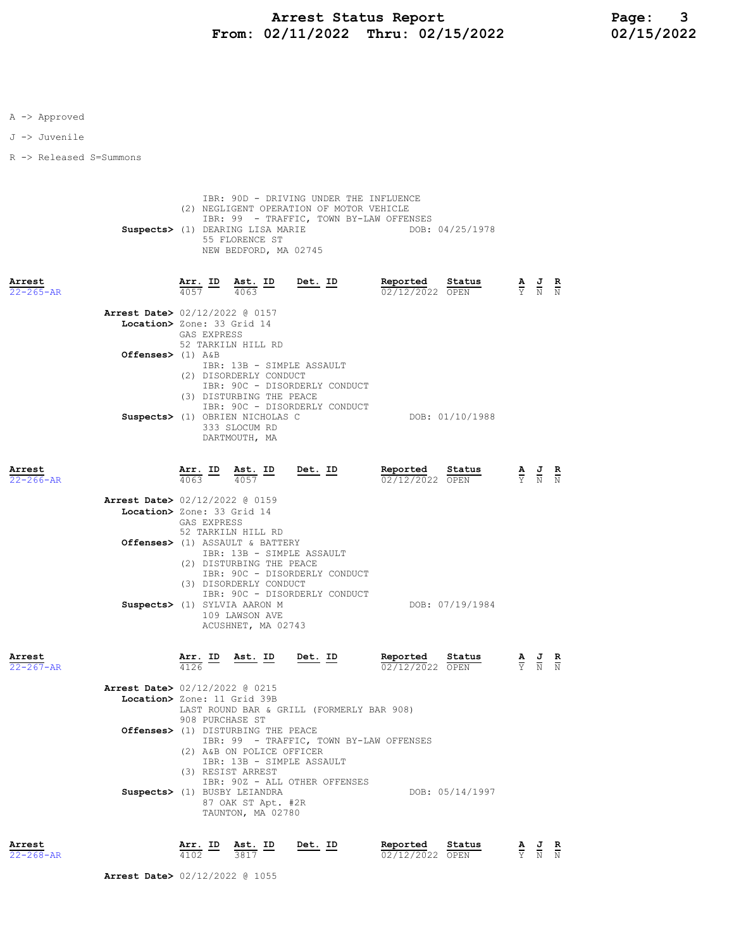J -> Juvenile

R -> Released S=Summons

|                           |                                                               |                 | Suspects> (1) DEARING LISA MARIE<br>55 FLORENCE ST<br>NEW BEDFORD, MA 02745                                                                                   | IBR: 90D - DRIVING UNDER THE INFLUENCE<br>(2) NEGLIGENT OPERATION OF MOTOR VEHICLE<br>IBR: 99 - TRAFFIC, TOWN BY-LAW OFFENSES |                                    | DOB: 04/25/1978 |                                 |                                                                                                       |                        |
|---------------------------|---------------------------------------------------------------|-----------------|---------------------------------------------------------------------------------------------------------------------------------------------------------------|-------------------------------------------------------------------------------------------------------------------------------|------------------------------------|-----------------|---------------------------------|-------------------------------------------------------------------------------------------------------|------------------------|
| Arrest<br>$22 - 265 - AR$ |                                                               |                 |                                                                                                                                                               | $\frac{\texttt{Arr.}}{4057}$ ID $\frac{\texttt{Ast.}}{4063}$ ID Det. ID                                                       | Reported Status<br>02/12/2022 OPEN |                 |                                 | $\frac{\mathbf{A}}{\mathbf{Y}}$ $\frac{\mathbf{J}}{\mathbf{N}}$ $\frac{\mathbf{R}}{\mathbf{N}}$       |                        |
|                           | Arrest Date> 02/12/2022 @ 0157<br>Location> Zone: 33 Grid 14  | GAS EXPRESS     | 52 TARKILN HILL RD                                                                                                                                            |                                                                                                                               |                                    |                 |                                 |                                                                                                       |                        |
|                           | Offenses> $(1)$ A&B                                           |                 | (2) DISORDERLY CONDUCT<br>(3) DISTURBING THE PEACE                                                                                                            | IBR: 13B - SIMPLE ASSAULT<br>IBR: 90C - DISORDERLY CONDUCT                                                                    |                                    |                 |                                 |                                                                                                       |                        |
|                           |                                                               |                 | Suspects> (1) OBRIEN NICHOLAS C<br>333 SLOCUM RD<br>DARTMOUTH, MA                                                                                             | IBR: 90C - DISORDERLY CONDUCT                                                                                                 |                                    | DOB: 01/10/1988 |                                 |                                                                                                       |                        |
| Arrest<br>$22 - 266 - AR$ |                                                               |                 |                                                                                                                                                               | $\frac{\texttt{Arr.}}{4063}$ ID $\frac{\texttt{ Ast.}}{4057}$ ID Det. ID                                                      | Reported Status<br>02/12/2022 OPEN |                 |                                 | $\frac{\mathbf{A}}{\overline{Y}}$ $\frac{\mathbf{J}}{\overline{N}}$ $\frac{\mathbf{R}}{\overline{N}}$ |                        |
|                           | Arrest Date> 02/12/2022 @ 0159<br>Location> Zone: 33 Grid 14  | GAS EXPRESS     | 52 TARKILN HILL RD                                                                                                                                            |                                                                                                                               |                                    |                 |                                 |                                                                                                       |                        |
|                           |                                                               |                 | Offenses> (1) ASSAULT & BATTERY<br>(2) DISTURBING THE PEACE<br>(3) DISORDERLY CONDUCT<br>Suspects> (1) SYLVIA AARON M<br>109 LAWSON AVE<br>ACUSHNET, MA 02743 | IBR: 13B - SIMPLE ASSAULT<br>IBR: 90C - DISORDERLY CONDUCT<br>IBR: 90C - DISORDERLY CONDUCT                                   |                                    | DOB: 07/19/1984 |                                 |                                                                                                       |                        |
| Arrest<br>$22 - 267 - AR$ |                                                               |                 | $\frac{\texttt{Arr.}}{4126}$ ID Ast. ID Det. ID                                                                                                               |                                                                                                                               | Reported Status<br>02/12/2022 OPEN |                 |                                 | $\frac{\mathbf{A}}{\overline{Y}}$ $\frac{\mathbf{J}}{\overline{N}}$ $\frac{\mathbf{R}}{\overline{N}}$ |                        |
|                           | Arrest Date> 02/12/2022 @ 0215<br>Location> Zone: 11 Grid 39B | 908 PURCHASE ST |                                                                                                                                                               | LAST ROUND BAR & GRILL (FORMERLY BAR 908)                                                                                     |                                    |                 |                                 |                                                                                                       |                        |
|                           |                                                               |                 | Offenses> (1) DISTURBING THE PEACE<br>(2) A&B ON POLICE OFFICER<br>(3) RESIST ARREST                                                                          | IBR: 99 - TRAFFIC, TOWN BY-LAW OFFENSES<br>IBR: 13B - SIMPLE ASSAULT                                                          |                                    |                 |                                 |                                                                                                       |                        |
|                           |                                                               |                 | Suspects> (1) BUSBY LEIANDRA<br>87 OAK ST Apt. #2R<br>TAUNTON, MA 02780                                                                                       | IBR: 90Z - ALL OTHER OFFENSES                                                                                                 |                                    | DOB: 05/14/1997 |                                 |                                                                                                       |                        |
| Arrest<br>$22 - 268 - AR$ |                                                               | Arr. ID<br>4102 | Ast. ID<br>3817                                                                                                                                               | Det. ID                                                                                                                       | Reported<br>02/12/2022 OPEN        | Status          | $\frac{\mathbf{A}}{\mathbf{Y}}$ | $\frac{J}{N}$                                                                                         | $\frac{\mathbf{R}}{N}$ |

Arrest Date> 02/12/2022 @ 1055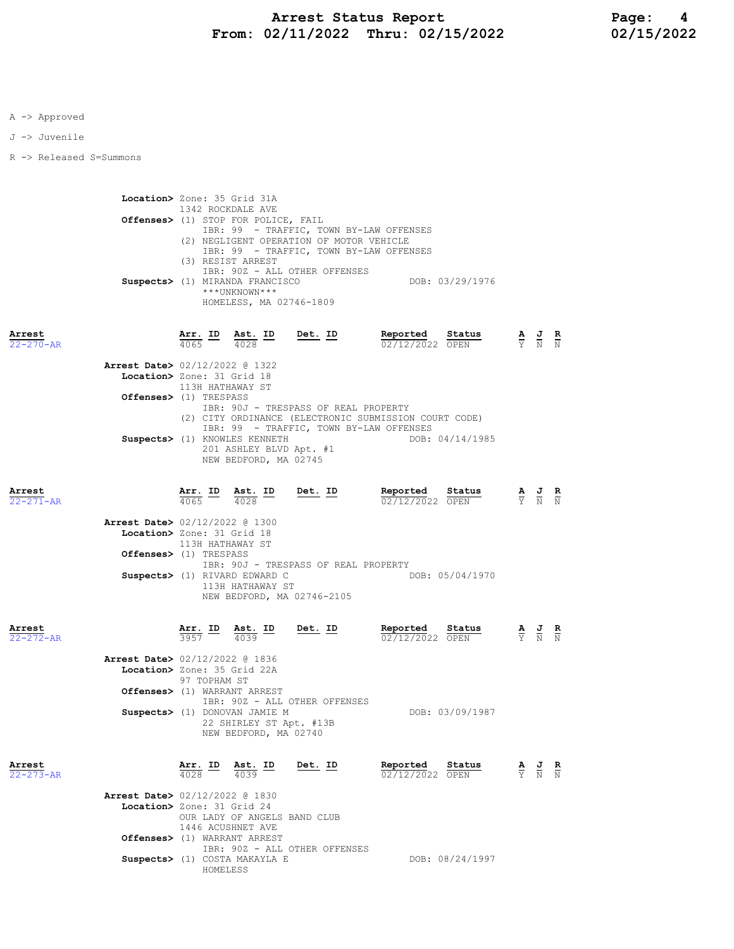J -> Juvenile

R -> Released S=Summons

Location> Zone: 35 Grid 31A 1342 ROCKDALE AVE Offenses> (1) STOP FOR POLICE, FAIL IBR: 99 - TRAFFIC, TOWN BY-LAW OFFENSES (2) NEGLIGENT OPERATION OF MOTOR VEHICLE IBR: 99 - TRAFFIC, TOWN BY-LAW OFFENSES (3) RESIST ARREST IBR: 90Z - ALL OTHER OFFENSES Suspects> (1) MIRANDA FRANCISCO DOB: 03/29/1976 \*\*\*UNKNOWN\*\*\* HOMELESS, MA 02746-1809

## Arrest Arr. ID Ast. ID Det. ID Reported Status A J R 22-270-AR 4065 4028 02/12/2022 OPEN Y N N Arrest Date> 02/12/2022 @ 1322 Location> Zone: 31 Grid 18 113H HATHAWAY ST Offenses> (1) TRESPASS IBR: 90J - TRESPASS OF REAL PROPERTY (2) CITY ORDINANCE (ELECTRONIC SUBMISSION COURT CODE) IBR: 99 - TRAFFIC, TOWN BY-LAW OFFENSES Suspects> (1) KNOWLES KENNETH DOB: 04/14/1985 201 ASHLEY BLVD Apt. #1 NEW BEDFORD, MA 02745

| Arrest<br>$22 - 271 - AR$ |                                                                         | $\frac{\text{Arr.}}{4065}$ ID | Ast. ID<br>$\frac{4028}{ }$                                                       | <u>Det. ID</u>                       | Reported<br>02/12/2022 OPEN                                                                                                                                                                                                                                                                                                                         | Status          | $\frac{\mathbf{A}}{\mathbf{Y}}$ $\frac{\mathbf{J}}{\mathbf{N}}$ $\frac{\mathbf{R}}{\mathbf{N}}$ |  |
|---------------------------|-------------------------------------------------------------------------|-------------------------------|-----------------------------------------------------------------------------------|--------------------------------------|-----------------------------------------------------------------------------------------------------------------------------------------------------------------------------------------------------------------------------------------------------------------------------------------------------------------------------------------------------|-----------------|-------------------------------------------------------------------------------------------------|--|
|                           | <b>Arrest Date&gt; 02/12/2022 @ 1300</b><br>Location> Zone: 31 Grid 18  | 113H HATHAWAY ST              |                                                                                   |                                      |                                                                                                                                                                                                                                                                                                                                                     |                 |                                                                                                 |  |
|                           | Offenses> (1) TRESPASS                                                  |                               |                                                                                   | IBR: 90J - TRESPASS OF REAL PROPERTY |                                                                                                                                                                                                                                                                                                                                                     |                 |                                                                                                 |  |
|                           |                                                                         |                               | Suspects> (1) RIVARD EDWARD C<br>113H HATHAWAY ST                                 | NEW BEDFORD, MA 02746-2105           |                                                                                                                                                                                                                                                                                                                                                     | DOB: 05/04/1970 |                                                                                                 |  |
| Arrest<br>$22 - 272 - AR$ |                                                                         |                               | $\frac{\text{Arr.}}{3957}$ ID $\frac{\text{Ast.}}{4039}$ ID                       | <u>Det. ID</u>                       | <b>Reported Status A J R</b> $\frac{1}{12}$ <b>A J R</b> $\frac{1}{12}$ <b>R</b> $\frac{1}{12}$ <b>R</b> $\frac{1}{12}$ <b>R</b> $\frac{1}{12}$ <b>R</b> $\frac{1}{12}$ <b>R</b> $\frac{1}{12}$ <b>R</b> $\frac{1}{12}$ <b>R</b> $\frac{1}{12}$ <b>R</b> $\frac{1}{12}$ <b>R</b> $\frac{1}{12}$ <b>R</b> $\frac{1}{12}$ <b>R</b><br>02/12/2022 OPEN |                 |                                                                                                 |  |
|                           | <b>Arrest Date&gt; 02/12/2022 @ 1836</b><br>Location> Zone: 35 Grid 22A |                               |                                                                                   |                                      |                                                                                                                                                                                                                                                                                                                                                     |                 |                                                                                                 |  |
|                           |                                                                         | 97 TOPHAM ST                  |                                                                                   |                                      |                                                                                                                                                                                                                                                                                                                                                     |                 |                                                                                                 |  |
|                           |                                                                         |                               | Offenses> (1) WARRANT ARREST                                                      | IBR: 90Z - ALL OTHER OFFENSES        |                                                                                                                                                                                                                                                                                                                                                     |                 |                                                                                                 |  |
|                           |                                                                         |                               | Suspects> (1) DONOVAN JAMIE M<br>22 SHIRLEY ST Apt. #13B<br>NEW BEDFORD, MA 02740 |                                      |                                                                                                                                                                                                                                                                                                                                                     | DOB: 03/09/1987 |                                                                                                 |  |
| Arrest<br>$22 - 273 - AR$ |                                                                         |                               | $\frac{\text{Arr.}}{4028}$ ID $\frac{\text{Ast.}}{4039}$ ID                       | <u>Det.</u> ID                       | Reported<br>02/12/2022 OPEN                                                                                                                                                                                                                                                                                                                         | Status          | $\frac{\mathbf{A}}{\mathbf{Y}}$ $\frac{\mathbf{J}}{\mathbf{N}}$ $\frac{\mathbf{R}}{\mathbf{N}}$ |  |
|                           | <b>Arrest Date&gt; 02/12/2022 @ 1830</b>                                |                               |                                                                                   |                                      |                                                                                                                                                                                                                                                                                                                                                     |                 |                                                                                                 |  |
|                           | Location> Zone: 31 Grid 24                                              |                               | OUR LADY OF ANGELS BAND CLUB<br>1446 ACUSHNET AVE                                 |                                      |                                                                                                                                                                                                                                                                                                                                                     |                 |                                                                                                 |  |
|                           |                                                                         |                               | Offenses> (1) WARRANT ARREST                                                      | IBR: 90Z - ALL OTHER OFFENSES        |                                                                                                                                                                                                                                                                                                                                                     |                 |                                                                                                 |  |

Suspects> (1) COSTA MAKAYLA E DOB: 08/24/1997

HOMELESS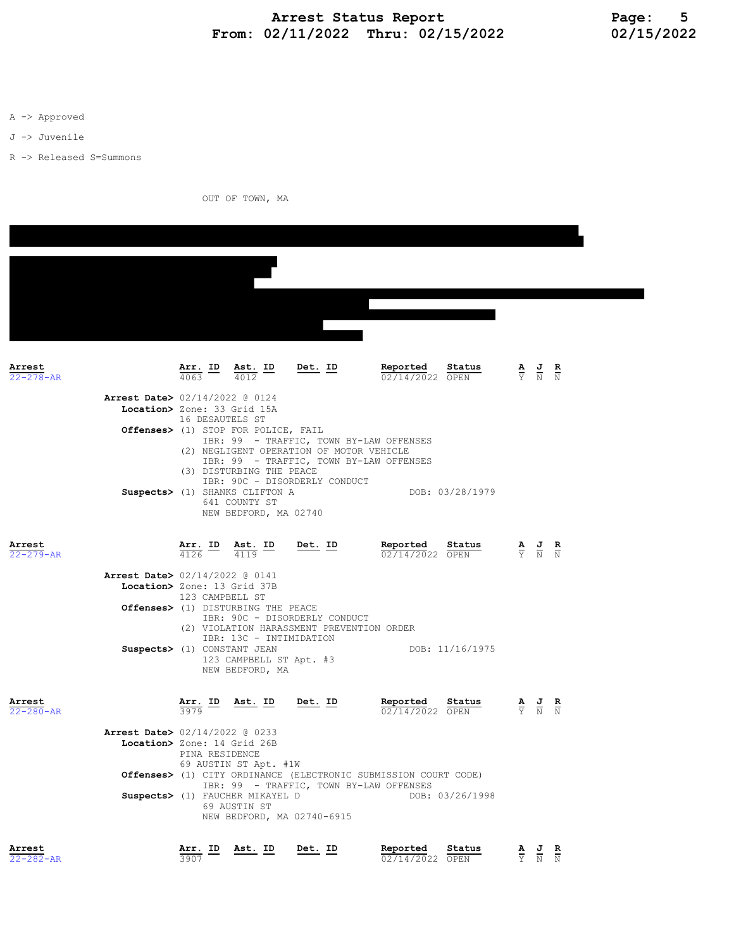## Arrest Status Report Page: 5 From: 02/11/2022 Thru: 02/15/2022 02/15/2022

A -> Approved

J -> Juvenile

R -> Released S=Summons

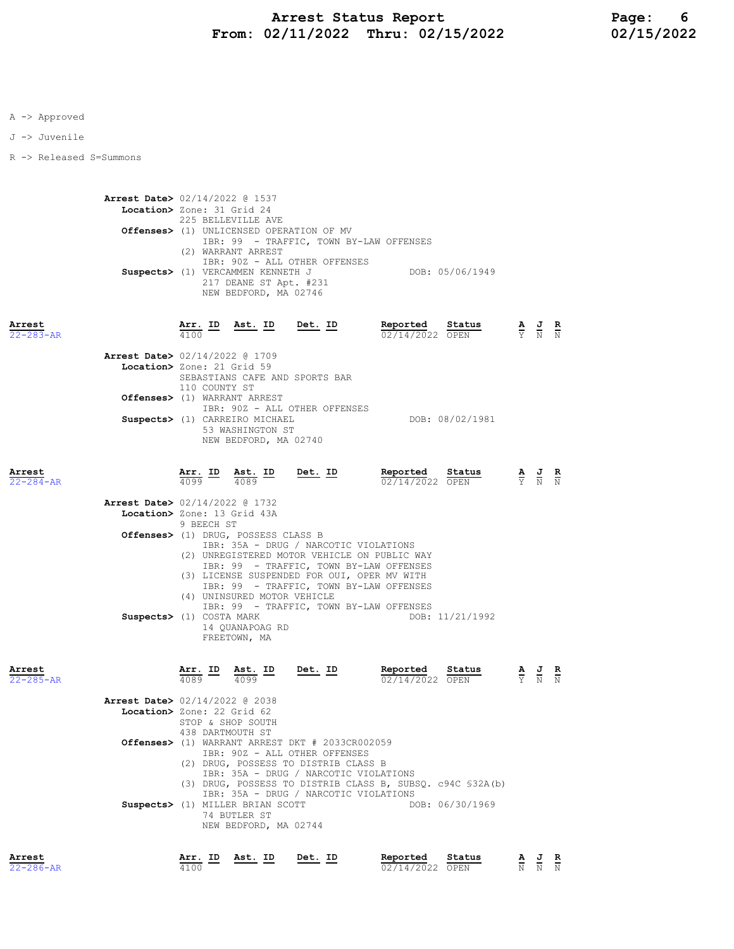J -> Juvenile

R -> Released S=Summons

 Arrest Date> 02/14/2022 @ 1537 Location> Zone: 31 Grid 24 225 BELLEVILLE AVE Offenses> (1) UNLICENSED OPERATION OF MV IBR: 99 - TRAFFIC, TOWN BY-LAW OFFENSES (2) WARRANT ARREST IBR: 90Z - ALL OTHER OFFENSES Suspects> (1) VERCAMMEN KENNETH J DOB: 05/06/1949 217 DEANE ST Apt. #231 NEW BEDFORD, MA 02746

| Arrest<br>$22 - 283 - AR$ | Arr. ID                                                                                                                                                                                                                                                                                                                                                                                                                                                                                                                                                                                                                                                                                                                                                                                                                                                                                                                                                                                                                                                                                                                                                                                                                                                                                                                                                                                                                                                                                     | <u>Ast. ID</u>                        | Det. ID | Reported | Status | $\frac{\mathbf{A}}{\mathbf{Y}}$ |                                                                 | $\frac{R}{N}$ |  |  |
|---------------------------|---------------------------------------------------------------------------------------------------------------------------------------------------------------------------------------------------------------------------------------------------------------------------------------------------------------------------------------------------------------------------------------------------------------------------------------------------------------------------------------------------------------------------------------------------------------------------------------------------------------------------------------------------------------------------------------------------------------------------------------------------------------------------------------------------------------------------------------------------------------------------------------------------------------------------------------------------------------------------------------------------------------------------------------------------------------------------------------------------------------------------------------------------------------------------------------------------------------------------------------------------------------------------------------------------------------------------------------------------------------------------------------------------------------------------------------------------------------------------------------------|---------------------------------------|---------|----------|--------|---------------------------------|-----------------------------------------------------------------|---------------|--|--|
|                           |                                                                                                                                                                                                                                                                                                                                                                                                                                                                                                                                                                                                                                                                                                                                                                                                                                                                                                                                                                                                                                                                                                                                                                                                                                                                                                                                                                                                                                                                                             |                                       |         |          |        |                                 |                                                                 |               |  |  |
|                           | 02/14/2022 OPEN<br><b>Arrest Date&gt;</b> 02/14/2022 @ 1709<br>Location> Zone: 21 Grid 59<br>SEBASTIANS CAFE AND SPORTS BAR<br>110 COUNTY ST<br>Offenses> (1) WARRANT ARREST<br>IBR: 90Z - ALL OTHER OFFENSES<br>Suspects> (1) CARREIRO MICHAEL<br>DOB: 08/02/1981<br>53 WASHINGTON ST<br>NEW BEDFORD, MA 02740<br>Arr. ID<br>Reported<br>Status<br>Ast. ID $\frac{4089}{\sqrt{10}}$<br>Det. ID<br>4099<br>02/14/2022 OPEN<br>Arrest Date> 02/14/2022 @ 1732<br>Location> Zone: 13 Grid 43A<br>9 BEECH ST<br>Offenses> (1) DRUG, POSSESS CLASS B<br>IBR: 35A - DRUG / NARCOTIC VIOLATIONS<br>(2) UNREGISTERED MOTOR VEHICLE ON PUBLIC WAY<br>IBR: 99 - TRAFFIC, TOWN BY-LAW OFFENSES<br>(3) LICENSE SUSPENDED FOR OUI, OPER MV WITH<br>IBR: 99 - TRAFFIC, TOWN BY-LAW OFFENSES<br>(4) UNINSURED MOTOR VEHICLE<br>IBR: 99 - TRAFFIC, TOWN BY-LAW OFFENSES<br>Suspects> (1) COSTA MARK<br>DOB: 11/21/1992<br>14 OUANAPOAG RD<br>FREETOWN, MA<br><u>Arr.</u> ID<br>Det. ID<br>Reported<br>Ast. ID<br>Status<br>$4089$ –<br>4099<br>02/14/2022 OPEN<br>Arrest Date> 02/14/2022 @ 2038<br>Location> Zone: 22 Grid 62<br>STOP & SHOP SOUTH<br>438 DARTMOUTH ST<br>Offenses> (1) WARRANT ARREST DKT # 2033CR002059<br>IBR: 90Z - ALL OTHER OFFENSES<br>(2) DRUG, POSSESS TO DISTRIB CLASS B<br>IBR: 35A - DRUG / NARCOTIC VIOLATIONS<br>(3) DRUG, POSSESS TO DISTRIB CLASS B, SUBSQ. c94C \$32A(b)<br>IBR: 35A - DRUG / NARCOTIC VIOLATIONS<br>Suspects> (1) MILLER BRIAN SCOTT<br>DOB: 06/30/1969 |                                       |         |          |        |                                 |                                                                 |               |  |  |
| Arrest<br>22-284-AR       |                                                                                                                                                                                                                                                                                                                                                                                                                                                                                                                                                                                                                                                                                                                                                                                                                                                                                                                                                                                                                                                                                                                                                                                                                                                                                                                                                                                                                                                                                             |                                       |         |          |        |                                 | $\frac{\mathbf{A}}{\mathbf{Y}}$ $\frac{\mathbf{J}}{\mathbf{N}}$ |               |  |  |
|                           |                                                                                                                                                                                                                                                                                                                                                                                                                                                                                                                                                                                                                                                                                                                                                                                                                                                                                                                                                                                                                                                                                                                                                                                                                                                                                                                                                                                                                                                                                             |                                       |         |          |        |                                 |                                                                 |               |  |  |
|                           |                                                                                                                                                                                                                                                                                                                                                                                                                                                                                                                                                                                                                                                                                                                                                                                                                                                                                                                                                                                                                                                                                                                                                                                                                                                                                                                                                                                                                                                                                             |                                       |         |          |        |                                 |                                                                 |               |  |  |
|                           |                                                                                                                                                                                                                                                                                                                                                                                                                                                                                                                                                                                                                                                                                                                                                                                                                                                                                                                                                                                                                                                                                                                                                                                                                                                                                                                                                                                                                                                                                             |                                       |         |          |        |                                 |                                                                 |               |  |  |
| Arrest<br>$22 - 285 - AR$ |                                                                                                                                                                                                                                                                                                                                                                                                                                                                                                                                                                                                                                                                                                                                                                                                                                                                                                                                                                                                                                                                                                                                                                                                                                                                                                                                                                                                                                                                                             |                                       |         |          |        |                                 |                                                                 |               |  |  |
|                           |                                                                                                                                                                                                                                                                                                                                                                                                                                                                                                                                                                                                                                                                                                                                                                                                                                                                                                                                                                                                                                                                                                                                                                                                                                                                                                                                                                                                                                                                                             |                                       |         |          |        |                                 |                                                                 |               |  |  |
|                           |                                                                                                                                                                                                                                                                                                                                                                                                                                                                                                                                                                                                                                                                                                                                                                                                                                                                                                                                                                                                                                                                                                                                                                                                                                                                                                                                                                                                                                                                                             |                                       |         |          |        |                                 |                                                                 |               |  |  |
|                           |                                                                                                                                                                                                                                                                                                                                                                                                                                                                                                                                                                                                                                                                                                                                                                                                                                                                                                                                                                                                                                                                                                                                                                                                                                                                                                                                                                                                                                                                                             | 74 BUTLER ST<br>NEW BEDFORD, MA 02744 |         |          |        |                                 |                                                                 |               |  |  |

| Arrest          | Arr. ID Ast. ID |  | Det. ID | Reported        | Status |       | AJR |
|-----------------|-----------------|--|---------|-----------------|--------|-------|-----|
| $22 - 286 - AR$ | 4100            |  |         | 02/14/2022 OPEN |        | N N N |     |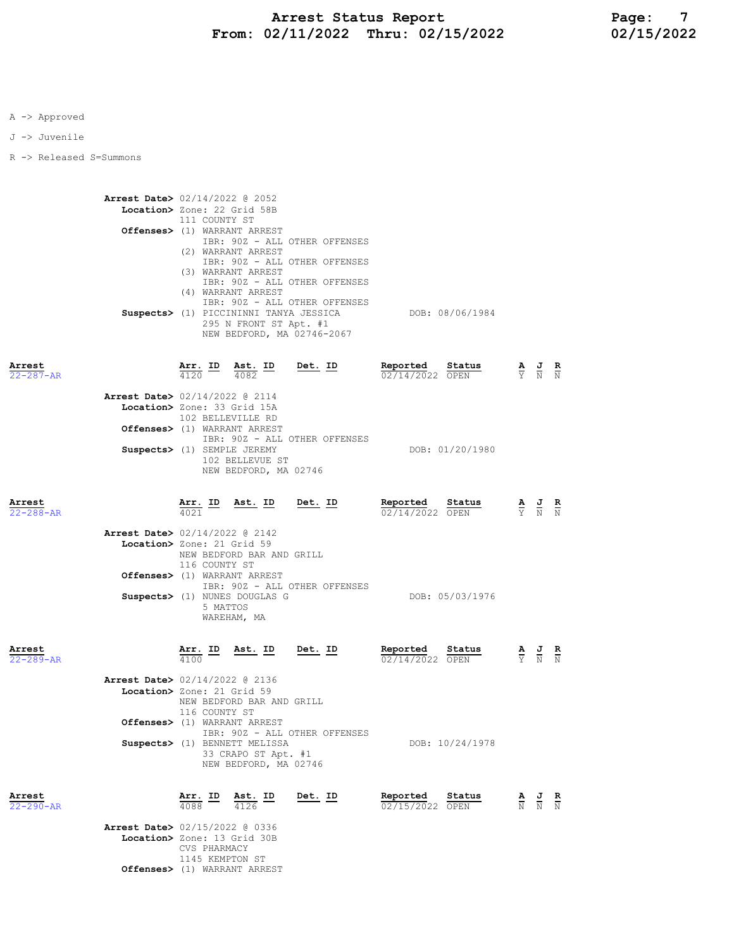J -> Juvenile

R -> Released S=Summons

|                           | <b>Arrest Date&gt;</b> 02/14/2022 @ 2052<br>Location> Zone: 22 Grid 58B | 111 COUNTY ST                           | Offenses> (1) WARRANT ARREST<br>(2) WARRANT ARREST<br>(3) WARRANT ARREST                                      | IBR: 90Z - ALL OTHER OFFENSES<br>IBR: 90Z - ALL OTHER OFFENSES<br>IBR: 90Z - ALL OTHER OFFENSES |                                    |                 |                                                                                                 |               |
|---------------------------|-------------------------------------------------------------------------|-----------------------------------------|---------------------------------------------------------------------------------------------------------------|-------------------------------------------------------------------------------------------------|------------------------------------|-----------------|-------------------------------------------------------------------------------------------------|---------------|
|                           |                                                                         |                                         | (4) WARRANT ARREST<br>Suspects> (1) PICCININNI TANYA JESSICA<br>295 N FRONT ST Apt. #1                        | IBR: 90Z - ALL OTHER OFFENSES<br>NEW BEDFORD, MA 02746-2067                                     | DOB: 08/06/1984                    |                 |                                                                                                 |               |
| Arrest<br>$22 - 287 - AR$ |                                                                         |                                         | $\frac{\text{Arr.}}{4120}$ ID $\frac{\text{Ast.}}{4082}$ ID                                                   | <u>Det. ID</u>                                                                                  | Reported<br>02/14/2022 OPEN        | Status          | $\frac{\mathbf{A}}{\mathbf{Y}}$ $\frac{\mathbf{J}}{\mathbf{N}}$ $\frac{\mathbf{R}}{\mathbf{N}}$ |               |
|                           | <b>Arrest Date&gt;</b> 02/14/2022 @ 2114<br>Location> Zone: 33 Grid 15A | 102 BELLEVILLE RD                       |                                                                                                               |                                                                                                 |                                    |                 |                                                                                                 |               |
|                           | Suspects> (1) SEMPLE JEREMY                                             |                                         | Offenses> (1) WARRANT ARREST<br>102 BELLEVUE ST<br>NEW BEDFORD, MA 02746                                      | IBR: 90Z - ALL OTHER OFFENSES                                                                   |                                    | DOB: 01/20/1980 |                                                                                                 |               |
| Arrest<br>$22 - 288 - AR$ |                                                                         |                                         |                                                                                                               | $\frac{\texttt{Arr.}}{4021}$ ID Ast. ID Det. ID                                                 | Reported Status<br>02/14/2022 OPEN |                 | $\frac{\mathbf{A}}{\mathbf{Y}}$ $\frac{\mathbf{J}}{\mathbf{N}}$ $\frac{\mathbf{R}}{\mathbf{N}}$ |               |
|                           | <b>Arrest Date&gt;</b> 02/14/2022 @ 2142<br>Location> Zone: 21 Grid 59  | 116 COUNTY ST                           | NEW BEDFORD BAR AND GRILL                                                                                     |                                                                                                 |                                    |                 |                                                                                                 |               |
|                           |                                                                         | 5 MATTOS                                | Offenses> (1) WARRANT ARREST<br>Suspects> (1) NUNES DOUGLAS G<br>WAREHAM, MA                                  | IBR: 90Z - ALL OTHER OFFENSES                                                                   |                                    | DOB: 05/03/1976 |                                                                                                 |               |
| Arrest<br>$22 - 289 - AR$ |                                                                         | $\frac{\texttt{Arr.}}{4100}$ ID<br>4100 | Ast. ID Det. ID                                                                                               |                                                                                                 | Reported<br>02/14/2022 OPEN        | Status          | $\frac{\mathbf{A}}{\mathbf{Y}}$ $\frac{\mathbf{J}}{\mathbf{N}}$ $\frac{\mathbf{R}}{\mathbf{N}}$ |               |
|                           | Arrest Date> 02/14/2022 @ 2136<br>Location> Zone: 21 Grid 59            | 116 COUNTY ST                           | NEW BEDFORD BAR AND GRILL                                                                                     |                                                                                                 |                                    |                 |                                                                                                 |               |
|                           |                                                                         |                                         | Offenses> (1) WARRANT ARREST<br>Suspects> (1) BENNETT MELISSA<br>33 CRAPO ST Apt. #1<br>NEW BEDFORD, MA 02746 | IBR: 90Z - ALL OTHER OFFENSES                                                                   |                                    | DOB: 10/24/1978 |                                                                                                 |               |
| Arrest<br>22-290-AR       |                                                                         | $\frac{\texttt{Arr.}}{4000}$ ID         | $\underbrace{\text{Ast.}}$ ID<br>4126                                                                         | <u>Det. ID</u>                                                                                  | Reported<br>02/15/2022 OPEN        | <u>Status</u>   | $\frac{\mathbf{A}}{\mathbb{N}}$ $\frac{\mathbf{J}}{\mathbb{N}}$                                 | $\frac{R}{N}$ |
|                           | Arrest Date> 02/15/2022 @ 0336                                          |                                         |                                                                                                               |                                                                                                 |                                    |                 |                                                                                                 |               |

 Location> Zone: 13 Grid 30B CVS PHARMACY 1145 KEMPTON ST Offenses> (1) WARRANT ARREST